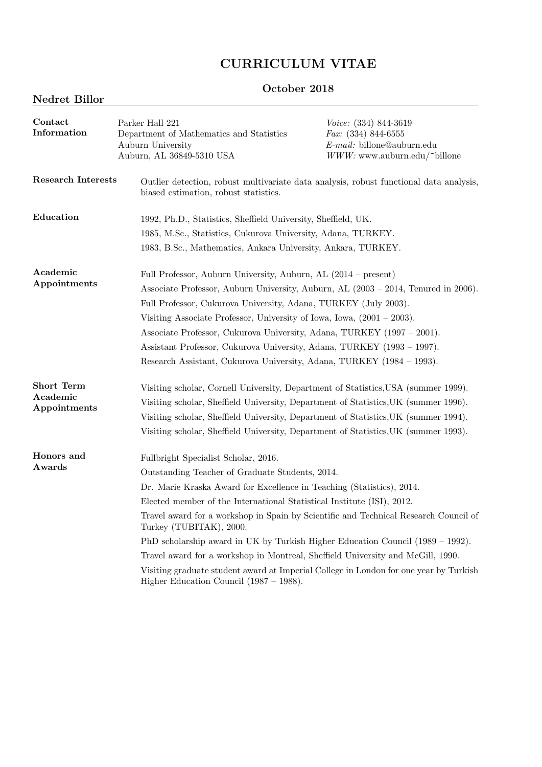# CURRICULUM VITAE

# October 2018

# Nedret Billor

| Contact<br>Information                        | Parker Hall 221<br>Department of Mathematics and Statistics<br>Auburn University<br>Auburn, AL 36849-5310 USA                                                                                                                                                                                                                                                                                                                                                                                                                                                                                                                                                             | Voice: (334) 844-3619<br>$Fax: (334) 844-6555$<br>$E$ -mail: billone@auburn.edu<br>$WWW:$ www.auburn.edu/ $\sim$ billone |
|-----------------------------------------------|---------------------------------------------------------------------------------------------------------------------------------------------------------------------------------------------------------------------------------------------------------------------------------------------------------------------------------------------------------------------------------------------------------------------------------------------------------------------------------------------------------------------------------------------------------------------------------------------------------------------------------------------------------------------------|--------------------------------------------------------------------------------------------------------------------------|
| Research Interests                            | Outlier detection, robust multivariate data analysis, robust functional data analysis,<br>biased estimation, robust statistics.                                                                                                                                                                                                                                                                                                                                                                                                                                                                                                                                           |                                                                                                                          |
| Education                                     | 1992, Ph.D., Statistics, Sheffield University, Sheffield, UK.                                                                                                                                                                                                                                                                                                                                                                                                                                                                                                                                                                                                             |                                                                                                                          |
|                                               | 1985, M.Sc., Statistics, Cukurova University, Adana, TURKEY.<br>1983, B.Sc., Mathematics, Ankara University, Ankara, TURKEY.                                                                                                                                                                                                                                                                                                                                                                                                                                                                                                                                              |                                                                                                                          |
| Academic<br>Appointments                      | Full Professor, Auburn University, Auburn, AL (2014 – present)<br>Associate Professor, Auburn University, Auburn, AL (2003 – 2014, Tenured in 2006).<br>Full Professor, Cukurova University, Adana, TURKEY (July 2003).<br>Visiting Associate Professor, University of Iowa, Iowa, $(2001 - 2003)$ .<br>Associate Professor, Cukurova University, Adana, TURKEY (1997 – 2001).<br>Assistant Professor, Cukurova University, Adana, TURKEY (1993 – 1997).<br>Research Assistant, Cukurova University, Adana, TURKEY (1984 - 1993).                                                                                                                                         |                                                                                                                          |
| <b>Short Term</b><br>Academic<br>Appointments | Visiting scholar, Cornell University, Department of Statistics, USA (summer 1999).<br>Visiting scholar, Sheffield University, Department of Statistics, UK (summer 1996).<br>Visiting scholar, Sheffield University, Department of Statistics, UK (summer 1994).<br>Visiting scholar, Sheffield University, Department of Statistics, UK (summer 1993).                                                                                                                                                                                                                                                                                                                   |                                                                                                                          |
| Honors and<br>Awards                          | Fullbright Specialist Scholar, 2016.<br>Outstanding Teacher of Graduate Students, 2014.<br>Dr. Marie Kraska Award for Excellence in Teaching (Statistics), 2014.<br>Elected member of the International Statistical Institute (ISI), 2012.<br>Travel award for a workshop in Spain by Scientific and Technical Research Council of<br>Turkey (TUBITAK), 2000.<br>PhD scholarship award in UK by Turkish Higher Education Council (1989 – 1992).<br>Travel award for a workshop in Montreal, Sheffield University and McGill, 1990.<br>Visiting graduate student award at Imperial College in London for one year by Turkish<br>Higher Education Council $(1987 - 1988)$ . |                                                                                                                          |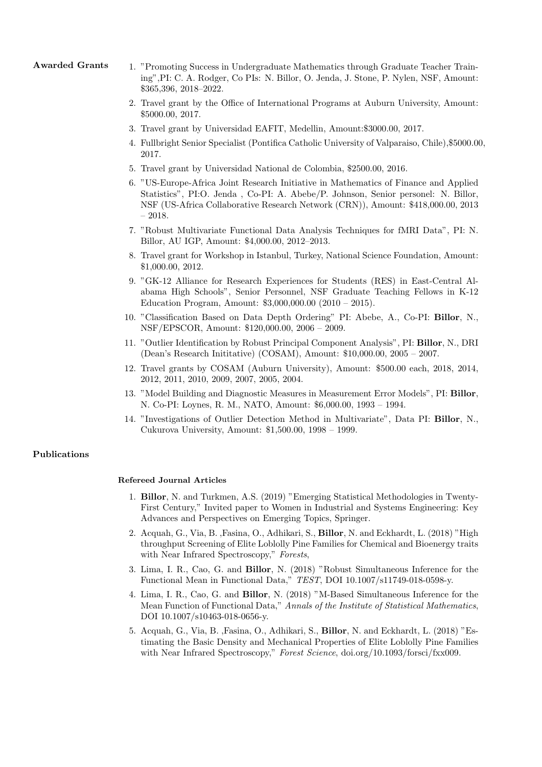- Awarded Grants 1. "Promoting Success in Undergraduate Mathematics through Graduate Teacher Training",PI: C. A. Rodger, Co PIs: N. Billor, O. Jenda, J. Stone, P. Nylen, NSF, Amount: \$365,396, 2018–2022.
	- 2. Travel grant by the Office of International Programs at Auburn University, Amount: \$5000.00, 2017.
	- 3. Travel grant by Universidad EAFIT, Medellin, Amount:\$3000.00, 2017.
	- 4. Fullbright Senior Specialist (Pontifica Catholic University of Valparaiso, Chile),\$5000.00, 2017.
	- 5. Travel grant by Universidad National de Colombia, \$2500.00, 2016.
	- 6. "US-Europe-Africa Joint Research Initiative in Mathematics of Finance and Applied Statistics", PI:O. Jenda , Co-PI: A. Abebe/P. Johnson, Senior personel: N. Billor, NSF (US-Africa Collaborative Research Network (CRN)), Amount: \$418,000.00, 2013  $-2018.$
	- 7. "Robust Multivariate Functional Data Analysis Techniques for fMRI Data", PI: N. Billor, AU IGP, Amount: \$4,000.00, 2012–2013.
	- 8. Travel grant for Workshop in Istanbul, Turkey, National Science Foundation, Amount: \$1,000.00, 2012.
	- 9. "GK-12 Alliance for Research Experiences for Students (RES) in East-Central Alabama High Schools", Senior Personnel, NSF Graduate Teaching Fellows in K-12 Education Program, Amount: \$3,000,000.00 (2010 – 2015).
	- 10. "Classification Based on Data Depth Ordering" PI: Abebe, A., Co-PI: Billor, N., NSF/EPSCOR, Amount: \$120,000.00, 2006 – 2009.
	- 11. "Outlier Identification by Robust Principal Component Analysis", PI: Billor, N., DRI (Dean's Research Inititative) (COSAM), Amount: \$10,000.00, 2005 – 2007.
	- 12. Travel grants by COSAM (Auburn University), Amount: \$500.00 each, 2018, 2014, 2012, 2011, 2010, 2009, 2007, 2005, 2004.
	- 13. "Model Building and Diagnostic Measures in Measurement Error Models", PI: Billor, N. Co-PI: Loynes, R. M., NATO, Amount: \$6,000.00, 1993 – 1994.
	- 14. "Investigations of Outlier Detection Method in Multivariate", Data PI: Billor, N., Cukurova University, Amount: \$1,500.00, 1998 – 1999.

### Publications

#### Refereed Journal Articles

- 1. Billor, N. and Turkmen, A.S. (2019) "Emerging Statistical Methodologies in Twenty-First Century," Invited paper to Women in Industrial and Systems Engineering: Key Advances and Perspectives on Emerging Topics, Springer.
- 2. Acquah, G., Via, B. ,Fasina, O., Adhikari, S., Billor, N. and Eckhardt, L. (2018) "High throughput Screening of Elite Loblolly Pine Families for Chemical and Bioenergy traits with Near Infrared Spectroscopy," Forests,
- 3. Lima, I. R., Cao, G. and Billor, N. (2018) "Robust Simultaneous Inference for the Functional Mean in Functional Data," TEST, DOI 10.1007/s11749-018-0598-y.
- 4. Lima, I. R., Cao, G. and Billor, N. (2018) "M-Based Simultaneous Inference for the Mean Function of Functional Data," Annals of the Institute of Statistical Mathematics, DOI 10.1007/s10463-018-0656-y.
- 5. Acquah, G., Via, B. ,Fasina, O., Adhikari, S., Billor, N. and Eckhardt, L. (2018) "Estimating the Basic Density and Mechanical Properties of Elite Loblolly Pine Families with Near Infrared Spectroscopy," Forest Science, doi.org/10.1093/forsci/fxx009.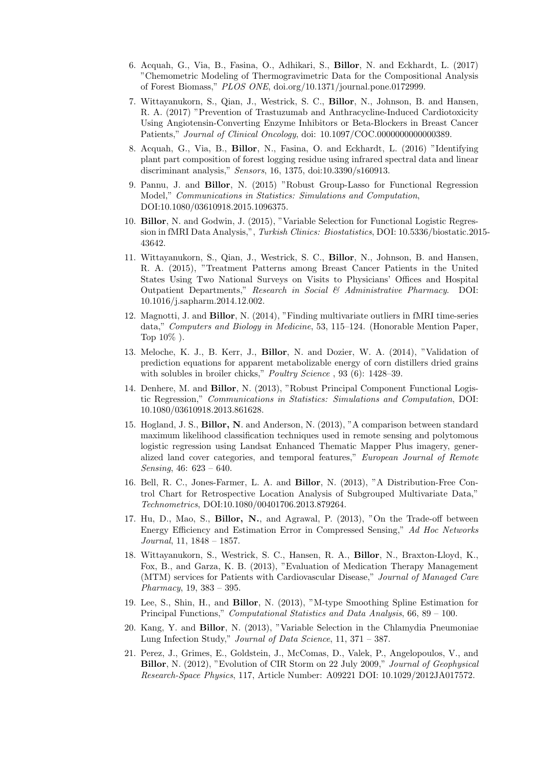- 6. Acquah, G., Via, B., Fasina, O., Adhikari, S., Billor, N. and Eckhardt, L. (2017) "Chemometric Modeling of Thermogravimetric Data for the Compositional Analysis of Forest Biomass," PLOS ONE, doi.org/10.1371/journal.pone.0172999.
- 7. Wittayanukorn, S., Qian, J., Westrick, S. C., Billor, N., Johnson, B. and Hansen, R. A. (2017) "Prevention of Trastuzumab and Anthracycline-Induced Cardiotoxicity Using Angiotensin-Converting Enzyme Inhibitors or Beta-Blockers in Breast Cancer Patients," Journal of Clinical Oncology, doi: 10.1097/COC.0000000000000389.
- 8. Acquah, G., Via, B., Billor, N., Fasina, O. and Eckhardt, L. (2016) "Identifying plant part composition of forest logging residue using infrared spectral data and linear discriminant analysis," Sensors, 16, 1375, doi:10.3390/s160913.
- 9. Pannu, J. and Billor, N. (2015) "Robust Group-Lasso for Functional Regression Model," Communications in Statistics: Simulations and Computation, DOI:10.1080/03610918.2015.1096375.
- 10. Billor, N. and Godwin, J. (2015), "Variable Selection for Functional Logistic Regression in fMRI Data Analysis,", Turkish Clinics: Biostatistics, DOI: 10.5336/biostatic.2015- 43642.
- 11. Wittayanukorn, S., Qian, J., Westrick, S. C., Billor, N., Johnson, B. and Hansen, R. A. (2015), "Treatment Patterns among Breast Cancer Patients in the United States Using Two National Surveys on Visits to Physicians' Offices and Hospital Outpatient Departments," Research in Social & Administrative Pharmacy. DOI: 10.1016/j.sapharm.2014.12.002.
- 12. Magnotti, J. and Billor, N. (2014), "Finding multivariate outliers in fMRI time-series data," Computers and Biology in Medicine, 53, 115–124. (Honorable Mention Paper, Top  $10\%$ ).
- 13. Meloche, K. J., B. Kerr, J., Billor, N. and Dozier, W. A. (2014), "Validation of prediction equations for apparent metabolizable energy of corn distillers dried grains with solubles in broiler chicks," Poultry Science, 93 (6): 1428-39.
- 14. Denhere, M. and Billor, N. (2013), "Robust Principal Component Functional Logistic Regression," Communications in Statistics: Simulations and Computation, DOI: 10.1080/03610918.2013.861628.
- 15. Hogland, J. S., Billor, N. and Anderson, N. (2013), "A comparison between standard maximum likelihood classification techniques used in remote sensing and polytomous logistic regression using Landsat Enhanced Thematic Mapper Plus imagery, generalized land cover categories, and temporal features," European Journal of Remote Sensing, 46: 623 – 640.
- 16. Bell, R. C., Jones-Farmer, L. A. and Billor, N. (2013), "A Distribution-Free Control Chart for Retrospective Location Analysis of Subgrouped Multivariate Data," Technometrics, DOI:10.1080/00401706.2013.879264.
- 17. Hu, D., Mao, S., Billor, N., and Agrawal, P. (2013), "On the Trade-off between Energy Efficiency and Estimation Error in Compressed Sensing," Ad Hoc Networks Journal, 11, 1848 – 1857.
- 18. Wittayanukorn, S., Westrick, S. C., Hansen, R. A., Billor, N., Braxton-Lloyd, K., Fox, B., and Garza, K. B. (2013), "Evaluation of Medication Therapy Management (MTM) services for Patients with Cardiovascular Disease," Journal of Managed Care Pharmacy, 19, 383 – 395.
- 19. Lee, S., Shin, H., and Billor, N. (2013), "M-type Smoothing Spline Estimation for Principal Functions," Computational Statistics and Data Analysis, 66, 89 – 100.
- 20. Kang, Y. and Billor, N. (2013), "Variable Selection in the Chlamydia Pneumoniae Lung Infection Study," Journal of Data Science, 11, 371 – 387.
- 21. Perez, J., Grimes, E., Goldstein, J., McComas, D., Valek, P., Angelopoulos, V., and Billor, N. (2012), "Evolution of CIR Storm on 22 July 2009," Journal of Geophysical Research-Space Physics, 117, Article Number: A09221 DOI: 10.1029/2012JA017572.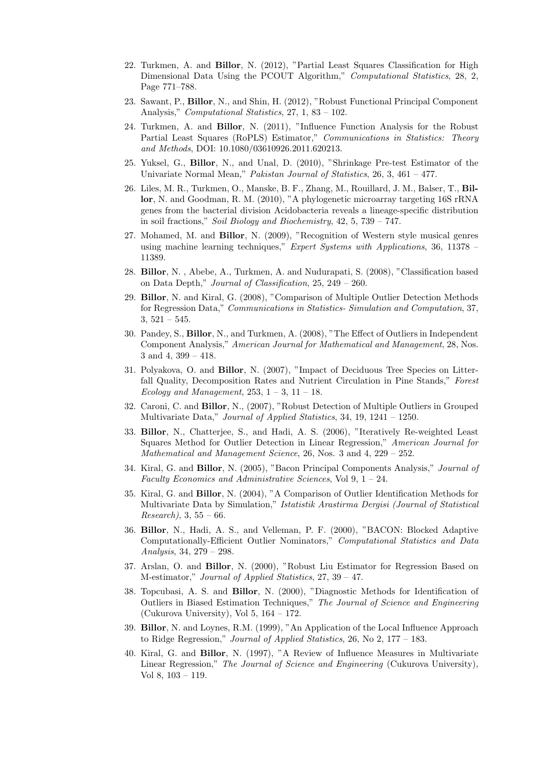- 22. Turkmen, A. and Billor, N. (2012), "Partial Least Squares Classification for High Dimensional Data Using the PCOUT Algorithm," Computational Statistics, 28, 2, Page 771–788.
- 23. Sawant, P., Billor, N., and Shin, H. (2012), "Robust Functional Principal Component Analysis," Computational Statistics, 27, 1, 83 – 102.
- 24. Turkmen, A. and Billor, N. (2011), "Influence Function Analysis for the Robust Partial Least Squares (RoPLS) Estimator," Communications in Statistics: Theory and Methods, DOI: 10.1080/03610926.2011.620213.
- 25. Yuksel, G., Billor, N., and Unal, D. (2010), "Shrinkage Pre-test Estimator of the Univariate Normal Mean," Pakistan Journal of Statistics, 26, 3, 461 - 477.
- 26. Liles, M. R., Turkmen, O., Manske, B. F., Zhang, M., Rouillard, J. M., Balser, T., Billor, N. and Goodman, R. M. (2010), "A phylogenetic microarray targeting 16S rRNA genes from the bacterial division Acidobacteria reveals a lineage-specific distribution in soil fractions," Soil Biology and Biochemistry, 42, 5, 739 – 747.
- 27. Mohamed, M. and Billor, N. (2009), "Recognition of Western style musical genres using machine learning techniques," Expert Systems with Applications, 36, 11378 – 11389.
- 28. Billor, N. , Abebe, A., Turkmen, A. and Nudurapati, S. (2008), "Classification based on Data Depth," Journal of Classification, 25, 249 – 260.
- 29. Billor, N. and Kiral, G. (2008), "Comparison of Multiple Outlier Detection Methods for Regression Data," Communications in Statistics- Simulation and Computation, 37,  $3,521-545.$
- 30. Pandey, S., Billor, N., and Turkmen, A. (2008), "The Effect of Outliers in Independent Component Analysis," American Journal for Mathematical and Management, 28, Nos. 3 and 4, 399 – 418.
- 31. Polyakova, O. and Billor, N. (2007), "Impact of Deciduous Tree Species on Litterfall Quality, Decomposition Rates and Nutrient Circulation in Pine Stands," Forest Ecology and Management,  $253, 1 - 3, 11 - 18$ .
- 32. Caroni, C. and Billor, N., (2007), "Robust Detection of Multiple Outliers in Grouped Multivariate Data," Journal of Applied Statistics, 34, 19, 1241 – 1250.
- 33. Billor, N., Chatterjee, S., and Hadi, A. S. (2006), "Iteratively Re-weighted Least Squares Method for Outlier Detection in Linear Regression," American Journal for Mathematical and Management Science, 26, Nos. 3 and 4, 229 – 252.
- 34. Kiral, G. and Billor, N. (2005), "Bacon Principal Components Analysis," Journal of Faculty Economics and Administrative Sciences, Vol 9, 1 – 24.
- 35. Kiral, G. and Billor, N. (2004), "A Comparison of Outlier Identification Methods for Multivariate Data by Simulation," Istatistik Arastirma Dergisi (Journal of Statistical  $Research$ ), 3, 55 – 66.
- 36. Billor, N., Hadi, A. S., and Velleman, P. F. (2000), "BACON: Blocked Adaptive Computationally-Efficient Outlier Nominators," Computational Statistics and Data Analysis, 34, 279 – 298.
- 37. Arslan, O. and Billor, N. (2000), "Robust Liu Estimator for Regression Based on M-estimator," Journal of Applied Statistics, 27, 39 – 47.
- 38. Topcubasi, A. S. and Billor, N. (2000), "Diagnostic Methods for Identification of Outliers in Biased Estimation Techniques," The Journal of Science and Engineering (Cukurova University), Vol 5, 164 – 172.
- 39. Billor, N. and Loynes, R.M. (1999), "An Application of the Local Influence Approach to Ridge Regression," Journal of Applied Statistics, 26, No 2, 177 – 183.
- 40. Kiral, G. and Billor, N. (1997), "A Review of Influence Measures in Multivariate Linear Regression," The Journal of Science and Engineering (Cukurova University), Vol 8, 103 – 119.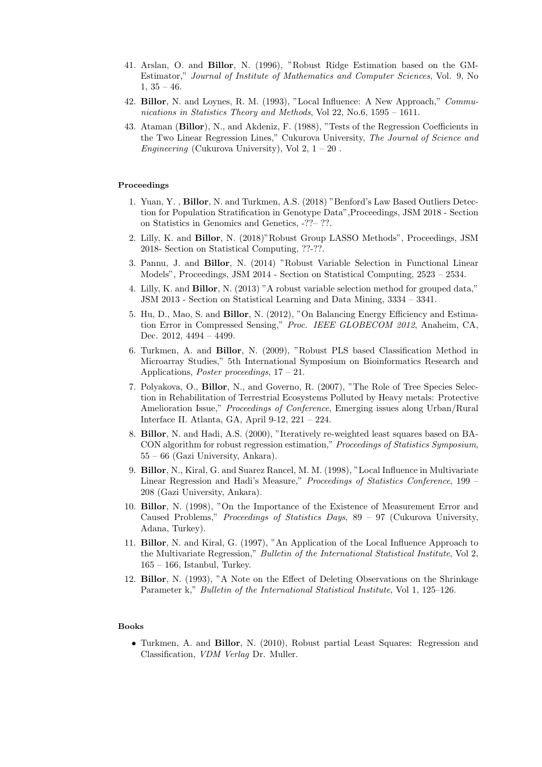- 41. Arslan, O. and Billor, N. (1996), "Robust Ridge Estimation based on the GM-Estimator," Journal of Institute of Mathematics and Computer Sciences, Vol. 9, No  $1, 35 - 46.$
- 42. Billor, N. and Loynes, R. M. (1993), "Local Influence: A New Approach," Communications in Statistics Theory and Methods, Vol 22, No.6, 1595 – 1611.
- 43. Ataman (Billor), N., and Akdeniz, F. (1988), "Tests of the Regression Coefficients in the Two Linear Regression Lines," Cukurova University, The Journal of Science and Engineering (Cukurova University), Vol 2,  $1 - 20$ .

## Proceedings

- 1. Yuan, Y. , Billor, N. and Turkmen, A.S. (2018) "Benford's Law Based Outliers Detection for Population Stratification in Genotype Data",Proceedings, JSM 2018 - Section on Statistics in Genomics and Genetics, -??– ??.
- 2. Lilly, K. and Billor, N. (2018)"Robust Group LASSO Methods", Proceedings, JSM 2018- Section on Statistical Computing, ??-??.
- 3. Pannu, J. and Billor, N. (2014) "Robust Variable Selection in Functional Linear Models", Proceedings, JSM 2014 - Section on Statistical Computing, 2523 – 2534.
- 4. Lilly, K. and Billor, N. (2013) "A robust variable selection method for grouped data," JSM 2013 - Section on Statistical Learning and Data Mining, 3334 – 3341.
- 5. Hu, D., Mao, S. and Billor, N. (2012), "On Balancing Energy Efficiency and Estimation Error in Compressed Sensing," Proc. IEEE GLOBECOM 2012, Anaheim, CA, Dec. 2012, 4494 – 4499.
- 6. Turkmen, A. and Billor, N. (2009), "Robust PLS based Classification Method in Microarray Studies," 5th International Symposium on Bioinformatics Research and Applications, Poster proceedings,  $17 - 21$ .
- 7. Polyakova, O., Billor, N., and Governo, R. (2007), "The Role of Tree Species Selection in Rehabilitation of Terrestrial Ecosystems Polluted by Heavy metals: Protective Amelioration Issue," Proceedings of Conference, Emerging issues along Urban/Rural Interface II. Atlanta, GA, April 9-12, 221 – 224.
- 8. Billor, N. and Hadi, A.S. (2000), "Iteratively re-weighted least squares based on BA-CON algorithm for robust regression estimation," Proceedings of Statistics Symposium, 55 – 66 (Gazi University, Ankara).
- 9. Billor, N., Kiral, G. and Suarez Rancel, M. M. (1998), "Local Influence in Multivariate Linear Regression and Hadi's Measure," Proceedings of Statistics Conference, 199 – 208 (Gazi University, Ankara).
- 10. Billor, N. (1998), "On the Importance of the Existence of Measurement Error and Caused Problems," Proceedings of Statistics Days, 89 – 97 (Cukurova University, Adana, Turkey).
- 11. Billor, N. and Kiral, G. (1997), "An Application of the Local Influence Approach to the Multivariate Regression," Bulletin of the International Statistical Institute, Vol 2,  $165 - 166$ , Istanbul, Turkey.
- 12. Billor, N. (1993), "A Note on the Effect of Deleting Observations on the Shrinkage Parameter k," *Bulletin of the International Statistical Institute*, Vol 1, 125–126.

#### Books

• Turkmen, A. and Billor, N. (2010), Robust partial Least Squares: Regression and Classification, VDM Verlag Dr. Muller.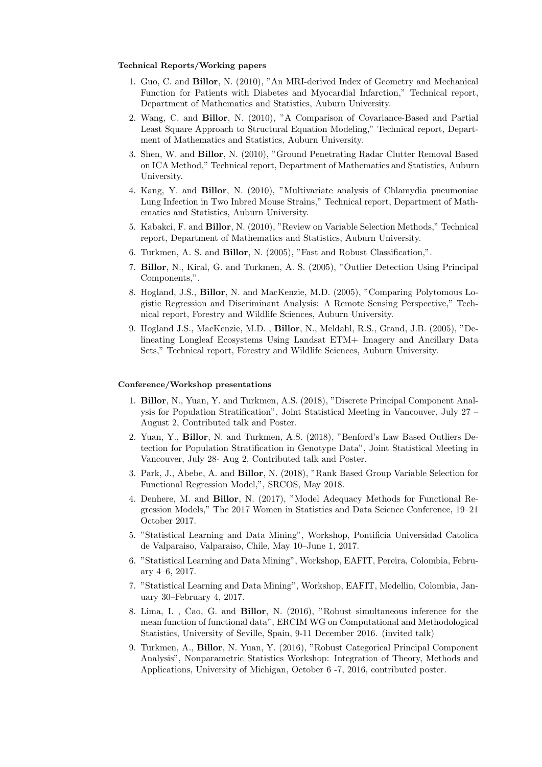#### Technical Reports/Working papers

- 1. Guo, C. and Billor, N. (2010), "An MRI-derived Index of Geometry and Mechanical Function for Patients with Diabetes and Myocardial Infarction," Technical report, Department of Mathematics and Statistics, Auburn University.
- 2. Wang, C. and Billor, N. (2010), "A Comparison of Covariance-Based and Partial Least Square Approach to Structural Equation Modeling," Technical report, Department of Mathematics and Statistics, Auburn University.
- 3. Shen, W. and Billor, N. (2010), "Ground Penetrating Radar Clutter Removal Based on ICA Method," Technical report, Department of Mathematics and Statistics, Auburn University.
- 4. Kang, Y. and Billor, N. (2010), "Multivariate analysis of Chlamydia pneumoniae Lung Infection in Two Inbred Mouse Strains," Technical report, Department of Mathematics and Statistics, Auburn University.
- 5. Kabakci, F. and Billor, N. (2010), "Review on Variable Selection Methods," Technical report, Department of Mathematics and Statistics, Auburn University.
- 6. Turkmen, A. S. and Billor, N. (2005), "Fast and Robust Classification,".
- 7. Billor, N., Kiral, G. and Turkmen, A. S. (2005), "Outlier Detection Using Principal Components,".
- 8. Hogland, J.S., Billor, N. and MacKenzie, M.D. (2005), "Comparing Polytomous Logistic Regression and Discriminant Analysis: A Remote Sensing Perspective," Technical report, Forestry and Wildlife Sciences, Auburn University.
- 9. Hogland J.S., MacKenzie, M.D. , Billor, N., Meldahl, R.S., Grand, J.B. (2005), "Delineating Longleaf Ecosystems Using Landsat ETM+ Imagery and Ancillary Data Sets," Technical report, Forestry and Wildlife Sciences, Auburn University.

# Conference/Workshop presentations

- 1. Billor, N., Yuan, Y. and Turkmen, A.S. (2018), "Discrete Principal Component Analysis for Population Stratification", Joint Statistical Meeting in Vancouver, July 27 – August 2, Contributed talk and Poster.
- 2. Yuan, Y., Billor, N. and Turkmen, A.S. (2018), "Benford's Law Based Outliers Detection for Population Stratification in Genotype Data", Joint Statistical Meeting in Vancouver, July 28- Aug 2, Contributed talk and Poster.
- 3. Park, J., Abebe, A. and Billor, N. (2018), "Rank Based Group Variable Selection for Functional Regression Model,", SRCOS, May 2018.
- 4. Denhere, M. and Billor, N. (2017), "Model Adequacy Methods for Functional Regression Models," The 2017 Women in Statistics and Data Science Conference, 19–21 October 2017.
- 5. "Statistical Learning and Data Mining", Workshop, Pontificia Universidad Catolica de Valparaiso, Valparaiso, Chile, May 10–June 1, 2017.
- 6. "Statistical Learning and Data Mining", Workshop, EAFIT, Pereira, Colombia, February 4–6, 2017.
- 7. "Statistical Learning and Data Mining", Workshop, EAFIT, Medellin, Colombia, January 30–February 4, 2017.
- 8. Lima, I. , Cao, G. and Billor, N. (2016), "Robust simultaneous inference for the mean function of functional data", ERCIM WG on Computational and Methodological Statistics, University of Seville, Spain, 9-11 December 2016. (invited talk)
- 9. Turkmen, A., Billor, N. Yuan, Y. (2016), "Robust Categorical Principal Component Analysis", Nonparametric Statistics Workshop: Integration of Theory, Methods and Applications, University of Michigan, October 6 -7, 2016, contributed poster.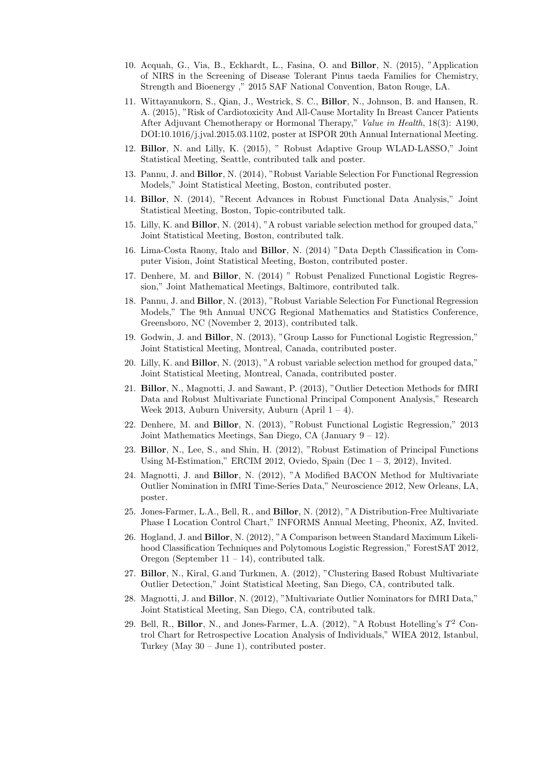- 10. Acquah, G., Via, B., Eckhardt, L., Fasina, O. and Billor, N. (2015), "Application of NIRS in the Screening of Disease Tolerant Pinus taeda Families for Chemistry, Strength and Bioenergy ," 2015 SAF National Convention, Baton Rouge, LA.
- 11. Wittayanukorn, S., Qian, J., Westrick, S. C., Billor, N., Johnson, B. and Hansen, R. A. (2015), "Risk of Cardiotoxicity And All-Cause Mortality In Breast Cancer Patients After Adjuvant Chemotherapy or Hormonal Therapy," Value in Health, 18(3): A190, DOI:10.1016/j.jval.2015.03.1102, poster at ISPOR 20th Annual International Meeting.
- 12. Billor, N. and Lilly, K. (2015), " Robust Adaptive Group WLAD-LASSO," Joint Statistical Meeting, Seattle, contributed talk and poster.
- 13. Pannu, J. and Billor, N. (2014), "Robust Variable Selection For Functional Regression Models," Joint Statistical Meeting, Boston, contributed poster.
- 14. Billor, N. (2014), "Recent Advances in Robust Functional Data Analysis," Joint Statistical Meeting, Boston, Topic-contributed talk.
- 15. Lilly, K. and Billor, N. (2014), "A robust variable selection method for grouped data," Joint Statistical Meeting, Boston, contributed talk.
- 16. Lima-Costa Raony, Italo and Billor, N. (2014) "Data Depth Classification in Computer Vision, Joint Statistical Meeting, Boston, contributed poster.
- 17. Denhere, M. and Billor, N. (2014) " Robust Penalized Functional Logistic Regression," Joint Mathematical Meetings, Baltimore, contributed talk.
- 18. Pannu, J. and Billor, N. (2013), "Robust Variable Selection For Functional Regression Models," The 9th Annual UNCG Regional Mathematics and Statistics Conference, Greensboro, NC (November 2, 2013), contributed talk.
- 19. Godwin, J. and Billor, N. (2013), "Group Lasso for Functional Logistic Regression," Joint Statistical Meeting, Montreal, Canada, contributed poster.
- 20. Lilly, K. and Billor, N. (2013), "A robust variable selection method for grouped data," Joint Statistical Meeting, Montreal, Canada, contributed poster.
- 21. Billor, N., Magnotti, J. and Sawant, P. (2013), "Outlier Detection Methods for fMRI Data and Robust Multivariate Functional Principal Component Analysis," Research Week 2013, Auburn University, Auburn (April  $1 - 4$ ).
- 22. Denhere, M. and Billor, N. (2013), "Robust Functional Logistic Regression," 2013 Joint Mathematics Meetings, San Diego, CA (January  $9 - 12$ ).
- 23. Billor, N., Lee, S., and Shin, H. (2012), "Robust Estimation of Principal Functions Using M-Estimation," ERCIM 2012, Oviedo, Spain (Dec  $1-3$ , 2012), Invited.
- 24. Magnotti, J. and Billor, N. (2012), "A Modified BACON Method for Multivariate Outlier Nomination in fMRI Time-Series Data," Neuroscience 2012, New Orleans, LA, poster.
- 25. Jones-Farmer, L.A., Bell, R., and Billor, N. (2012), "A Distribution-Free Multivariate Phase I Location Control Chart," INFORMS Annual Meeting, Pheonix, AZ, Invited.
- 26. Hogland, J. and Billor, N. (2012), "A Comparison between Standard Maximum Likelihood Classification Techniques and Polytomous Logistic Regression," ForestSAT 2012, Oregon (September 11 – 14), contributed talk.
- 27. Billor, N., Kiral, G.and Turkmen, A. (2012), "Clustering Based Robust Multivariate Outlier Detection," Joint Statistical Meeting, San Diego, CA, contributed talk.
- 28. Magnotti, J. and Billor, N. (2012), "Multivariate Outlier Nominators for fMRI Data," Joint Statistical Meeting, San Diego, CA, contributed talk.
- 29. Bell, R., Billor, N., and Jones-Farmer, L.A. (2012), "A Robust Hotelling's  $T^2$  Control Chart for Retrospective Location Analysis of Individuals," WIEA 2012, Istanbul, Turkey (May 30 – June 1), contributed poster.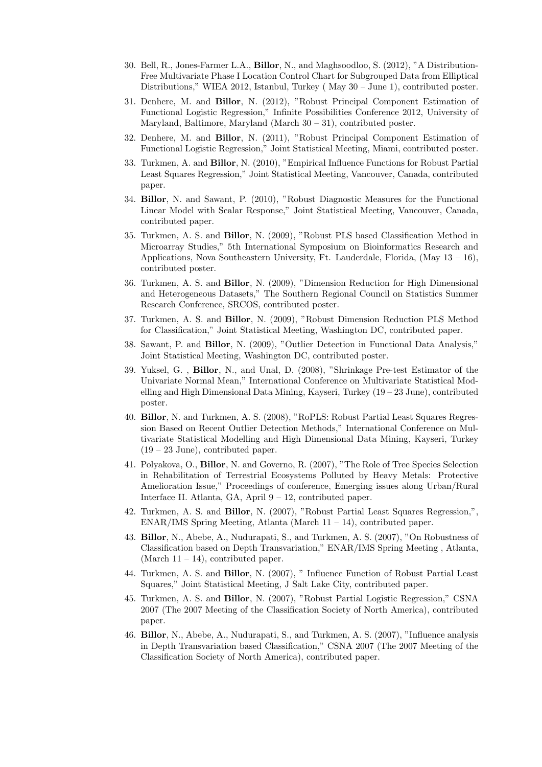- 30. Bell, R., Jones-Farmer L.A., Billor, N., and Maghsoodloo, S. (2012), "A Distribution-Free Multivariate Phase I Location Control Chart for Subgrouped Data from Elliptical Distributions," WIEA 2012, Istanbul, Turkey ( May 30 – June 1), contributed poster.
- 31. Denhere, M. and Billor, N. (2012), "Robust Principal Component Estimation of Functional Logistic Regression," Infinite Possibilities Conference 2012, University of Maryland, Baltimore, Maryland (March  $30 - 31$ ), contributed poster.
- 32. Denhere, M. and Billor, N. (2011), "Robust Principal Component Estimation of Functional Logistic Regression," Joint Statistical Meeting, Miami, contributed poster.
- 33. Turkmen, A. and Billor, N. (2010), "Empirical Influence Functions for Robust Partial Least Squares Regression," Joint Statistical Meeting, Vancouver, Canada, contributed paper.
- 34. Billor, N. and Sawant, P. (2010), "Robust Diagnostic Measures for the Functional Linear Model with Scalar Response," Joint Statistical Meeting, Vancouver, Canada, contributed paper.
- 35. Turkmen, A. S. and Billor, N. (2009), "Robust PLS based Classification Method in Microarray Studies," 5th International Symposium on Bioinformatics Research and Applications, Nova Southeastern University, Ft. Lauderdale, Florida,  $(May 13 - 16)$ , contributed poster.
- 36. Turkmen, A. S. and Billor, N. (2009), "Dimension Reduction for High Dimensional and Heterogeneous Datasets," The Southern Regional Council on Statistics Summer Research Conference, SRCOS, contributed poster.
- 37. Turkmen, A. S. and Billor, N. (2009), "Robust Dimension Reduction PLS Method for Classification," Joint Statistical Meeting, Washington DC, contributed paper.
- 38. Sawant, P. and Billor, N. (2009), "Outlier Detection in Functional Data Analysis," Joint Statistical Meeting, Washington DC, contributed poster.
- 39. Yuksel, G. , Billor, N., and Unal, D. (2008), "Shrinkage Pre-test Estimator of the Univariate Normal Mean," International Conference on Multivariate Statistical Modelling and High Dimensional Data Mining, Kayseri, Turkey  $(19 - 23$  June), contributed poster.
- 40. Billor, N. and Turkmen, A. S. (2008), "RoPLS: Robust Partial Least Squares Regression Based on Recent Outlier Detection Methods," International Conference on Multivariate Statistical Modelling and High Dimensional Data Mining, Kayseri, Turkey (19 – 23 June), contributed paper.
- 41. Polyakova, O., Billor, N. and Governo, R. (2007), "The Role of Tree Species Selection in Rehabilitation of Terrestrial Ecosystems Polluted by Heavy Metals: Protective Amelioration Issue," Proceedings of conference, Emerging issues along Urban/Rural Interface II. Atlanta, GA, April 9 – 12, contributed paper.
- 42. Turkmen, A. S. and Billor, N. (2007), "Robust Partial Least Squares Regression,", ENAR/IMS Spring Meeting, Atlanta (March  $11 - 14$ ), contributed paper.
- 43. Billor, N., Abebe, A., Nudurapati, S., and Turkmen, A. S. (2007), "On Robustness of Classification based on Depth Transvariation," ENAR/IMS Spring Meeting , Atlanta, (March  $11 - 14$ ), contributed paper.
- 44. Turkmen, A. S. and Billor, N. (2007), " Influence Function of Robust Partial Least Squares," Joint Statistical Meeting, J Salt Lake City, contributed paper.
- 45. Turkmen, A. S. and Billor, N. (2007), "Robust Partial Logistic Regression," CSNA 2007 (The 2007 Meeting of the Classification Society of North America), contributed paper.
- 46. Billor, N., Abebe, A., Nudurapati, S., and Turkmen, A. S. (2007), "Influence analysis in Depth Transvariation based Classification," CSNA 2007 (The 2007 Meeting of the Classification Society of North America), contributed paper.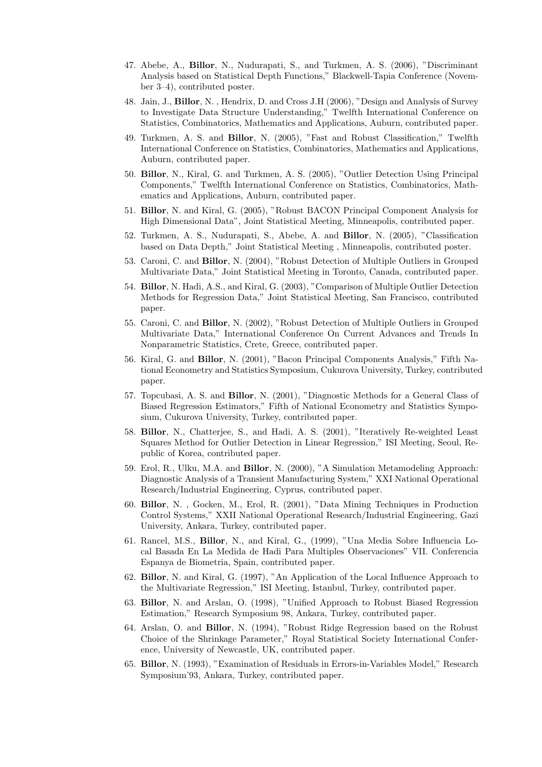- 47. Abebe, A., Billor, N., Nudurapati, S., and Turkmen, A. S. (2006), "Discriminant Analysis based on Statistical Depth Functions," Blackwell-Tapia Conference (November 3–4), contributed poster.
- 48. Jain, J., Billor, N. , Hendrix, D. and Cross J.H (2006), "Design and Analysis of Survey to Investigate Data Structure Understanding," Twelfth International Conference on Statistics, Combinatorics, Mathematics and Applications, Auburn, contributed paper.
- 49. Turkmen, A. S. and Billor, N. (2005), "Fast and Robust Classification," Twelfth International Conference on Statistics, Combinatorics, Mathematics and Applications, Auburn, contributed paper.
- 50. Billor, N., Kiral, G. and Turkmen, A. S. (2005), "Outlier Detection Using Principal Components," Twelfth International Conference on Statistics, Combinatorics, Mathematics and Applications, Auburn, contributed paper.
- 51. Billor, N. and Kiral, G. (2005), "Robust BACON Principal Component Analysis for High Dimensional Data", Joint Statistical Meeting, Minneapolis, contributed paper.
- 52. Turkmen, A. S., Nudurapati, S., Abebe, A. and Billor, N. (2005), "Classification based on Data Depth," Joint Statistical Meeting , Minneapolis, contributed poster.
- 53. Caroni, C. and Billor, N. (2004), "Robust Detection of Multiple Outliers in Grouped Multivariate Data," Joint Statistical Meeting in Toronto, Canada, contributed paper.
- 54. Billor, N. Hadi, A.S., and Kiral, G. (2003), "Comparison of Multiple Outlier Detection Methods for Regression Data," Joint Statistical Meeting, San Francisco, contributed paper.
- 55. Caroni, C. and Billor, N. (2002), "Robust Detection of Multiple Outliers in Grouped Multivariate Data," International Conference On Current Advances and Trends In Nonparametric Statistics, Crete, Greece, contributed paper.
- 56. Kiral, G. and Billor, N. (2001), "Bacon Principal Components Analysis," Fifth National Econometry and Statistics Symposium, Cukurova University, Turkey, contributed paper.
- 57. Topcubasi, A. S. and Billor, N. (2001), "Diagnostic Methods for a General Class of Biased Regression Estimators," Fifth of National Econometry and Statistics Symposium, Cukurova University, Turkey, contributed paper.
- 58. Billor, N., Chatterjee, S., and Hadi, A. S. (2001), "Iteratively Re-weighted Least Squares Method for Outlier Detection in Linear Regression," ISI Meeting, Seoul, Republic of Korea, contributed paper.
- 59. Erol, R., Ulku, M.A. and Billor, N. (2000), "A Simulation Metamodeling Approach: Diagnostic Analysis of a Transient Manufacturing System," XXI National Operational Research/Industrial Engineering, Cyprus, contributed paper.
- 60. Billor, N. , Gocken, M., Erol, R. (2001), "Data Mining Techniques in Production Control Systems," XXII National Operational Research/Industrial Engineering, Gazi University, Ankara, Turkey, contributed paper.
- 61. Rancel, M.S., Billor, N., and Kiral, G., (1999), "Una Media Sobre Influencia Local Basada En La Medida de Hadi Para Multiples Observaciones" VII. Conferencia Espanya de Biometria, Spain, contributed paper.
- 62. Billor, N. and Kiral, G. (1997), "An Application of the Local Influence Approach to the Multivariate Regression," ISI Meeting, Istanbul, Turkey, contributed paper.
- 63. Billor, N. and Arslan, O. (1998), "Unified Approach to Robust Biased Regression Estimation," Research Symposium 98, Ankara, Turkey, contributed paper.
- 64. Arslan, O. and Billor, N. (1994), "Robust Ridge Regression based on the Robust Choice of the Shrinkage Parameter," Royal Statistical Society International Conference, University of Newcastle, UK, contributed paper.
- 65. Billor, N. (1993), "Examination of Residuals in Errors-in-Variables Model," Research Symposium'93, Ankara, Turkey, contributed paper.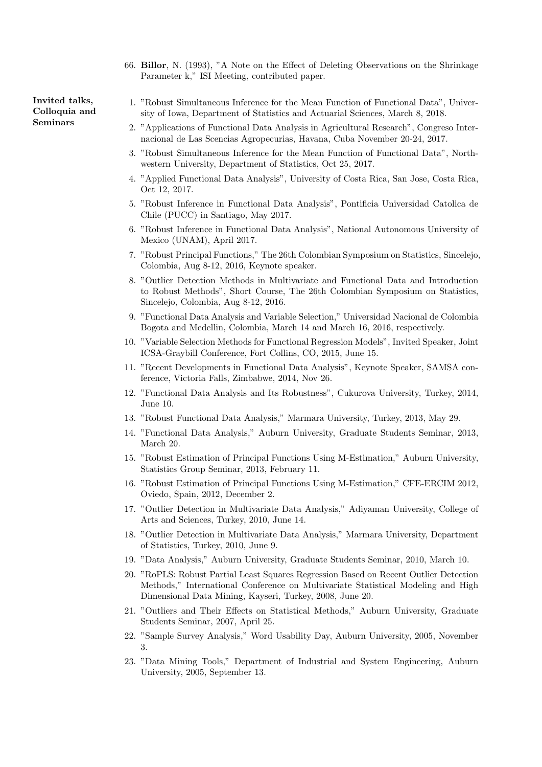66. Billor, N. (1993), "A Note on the Effect of Deleting Observations on the Shrinkage Parameter k," ISI Meeting, contributed paper.

1. "Robust Simultaneous Inference for the Mean Function of Functional Data", University of Iowa, Department of Statistics and Actuarial Sciences, March 8, 2018.

- 2. "Applications of Functional Data Analysis in Agricultural Research", Congreso Internacional de Las Scencias Agropecurias, Havana, Cuba November 20-24, 2017.
- 3. "Robust Simultaneous Inference for the Mean Function of Functional Data", Northwestern University, Department of Statistics, Oct 25, 2017.
- 4. "Applied Functional Data Analysis", University of Costa Rica, San Jose, Costa Rica, Oct 12, 2017.
- 5. "Robust Inference in Functional Data Analysis", Pontificia Universidad Catolica de Chile (PUCC) in Santiago, May 2017.
- 6. "Robust Inference in Functional Data Analysis", National Autonomous University of Mexico (UNAM), April 2017.
- 7. "Robust Principal Functions," The 26th Colombian Symposium on Statistics, Sincelejo, Colombia, Aug 8-12, 2016, Keynote speaker.
- 8. "Outlier Detection Methods in Multivariate and Functional Data and Introduction to Robust Methods", Short Course, The 26th Colombian Symposium on Statistics, Sincelejo, Colombia, Aug 8-12, 2016.
- 9. "Functional Data Analysis and Variable Selection," Universidad Nacional de Colombia Bogota and Medellin, Colombia, March 14 and March 16, 2016, respectively.
- 10. "Variable Selection Methods for Functional Regression Models", Invited Speaker, Joint ICSA-Graybill Conference, Fort Collins, CO, 2015, June 15.
- 11. "Recent Developments in Functional Data Analysis", Keynote Speaker, SAMSA conference, Victoria Falls, Zimbabwe, 2014, Nov 26.
- 12. "Functional Data Analysis and Its Robustness", Cukurova University, Turkey, 2014, June 10.
- 13. "Robust Functional Data Analysis," Marmara University, Turkey, 2013, May 29.
- 14. "Functional Data Analysis," Auburn University, Graduate Students Seminar, 2013, March 20.
- 15. "Robust Estimation of Principal Functions Using M-Estimation," Auburn University, Statistics Group Seminar, 2013, February 11.
- 16. "Robust Estimation of Principal Functions Using M-Estimation," CFE-ERCIM 2012, Oviedo, Spain, 2012, December 2.
- 17. "Outlier Detection in Multivariate Data Analysis," Adiyaman University, College of Arts and Sciences, Turkey, 2010, June 14.
- 18. "Outlier Detection in Multivariate Data Analysis," Marmara University, Department of Statistics, Turkey, 2010, June 9.
- 19. "Data Analysis," Auburn University, Graduate Students Seminar, 2010, March 10.
- 20. "RoPLS: Robust Partial Least Squares Regression Based on Recent Outlier Detection Methods," International Conference on Multivariate Statistical Modeling and High Dimensional Data Mining, Kayseri, Turkey, 2008, June 20.
- 21. "Outliers and Their Effects on Statistical Methods," Auburn University, Graduate Students Seminar, 2007, April 25.
- 22. "Sample Survey Analysis," Word Usability Day, Auburn University, 2005, November 3.
- 23. "Data Mining Tools," Department of Industrial and System Engineering, Auburn University, 2005, September 13.

Invited talks, Colloquia and Seminars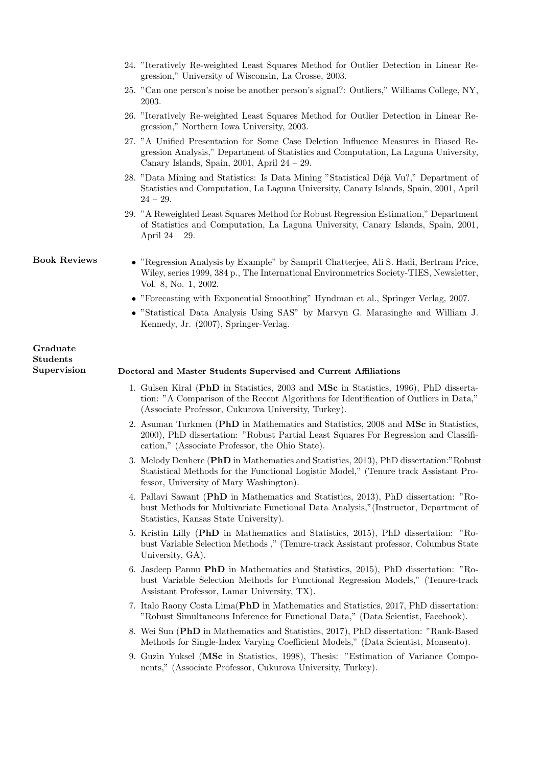- 24. "Iteratively Re-weighted Least Squares Method for Outlier Detection in Linear Regression," University of Wisconsin, La Crosse, 2003.
- 25. "Can one person's noise be another person's signal?: Outliers," Williams College, NY, 2003.
- 26. "Iteratively Re-weighted Least Squares Method for Outlier Detection in Linear Regression," Northern Iowa University, 2003.
- 27. "A Unified Presentation for Some Case Deletion Influence Measures in Biased Regression Analysis," Department of Statistics and Computation, La Laguna University, Canary Islands, Spain, 2001, April 24 – 29.
- 28. "Data Mining and Statistics: Is Data Mining "Statistical Déjà Vu?," Department of Statistics and Computation, La Laguna University, Canary Islands, Spain, 2001, April  $24 - 29.$
- 29. "A Reweighted Least Squares Method for Robust Regression Estimation," Department of Statistics and Computation, La Laguna University, Canary Islands, Spain, 2001, April 24 – 29.
- 
- Book Reviews "Regression Analysis by Example" by Samprit Chatterjee, Ali S. Hadi, Bertram Price, Wiley, series 1999, 384 p., The International Environmetrics Society-TIES, Newsletter, Vol. 8, No. 1, 2002.
	- "Forecasting with Exponential Smoothing" Hyndman et al., Springer Verlag, 2007.
	- "Statistical Data Analysis Using SAS" by Marvyn G. Marasinghe and William J. Kennedy, Jr. (2007), Springer-Verlag.

#### Graduate Students

# Supervision Doctoral and Master Students Supervised and Current Affiliations

- 1. Gulsen Kiral (PhD in Statistics, 2003 and MSc in Statistics, 1996), PhD dissertation: "A Comparison of the Recent Algorithms for Identification of Outliers in Data," (Associate Professor, Cukurova University, Turkey).
- 2. Asuman Turkmen (PhD in Mathematics and Statistics, 2008 and MSc in Statistics, 2000), PhD dissertation: "Robust Partial Least Squares For Regression and Classification," (Associate Professor, the Ohio State).
- 3. Melody Denhere (PhD in Mathematics and Statistics, 2013), PhD dissertation:"Robust Statistical Methods for the Functional Logistic Model," (Tenure track Assistant Professor, University of Mary Washington).
- 4. Pallavi Sawant (PhD in Mathematics and Statistics, 2013), PhD dissertation: "Robust Methods for Multivariate Functional Data Analysis,"(Instructor, Department of Statistics, Kansas State University).
- 5. Kristin Lilly (PhD in Mathematics and Statistics, 2015), PhD dissertation: "Robust Variable Selection Methods ," (Tenure-track Assistant professor, Columbus State University, GA).
- 6. Jasdeep Pannu PhD in Mathematics and Statistics, 2015), PhD dissertation: "Robust Variable Selection Methods for Functional Regression Models," (Tenure-track Assistant Professor, Lamar University, TX).
- 7. Italo Raony Costa Lima(PhD in Mathematics and Statistics, 2017, PhD dissertation: "Robust Simultaneous Inference for Functional Data," (Data Scientist, Facebook).
- 8. Wei Sun (PhD in Mathematics and Statistics, 2017), PhD dissertation: "Rank-Based Methods for Single-Index Varying Coefficient Models," (Data Scientist, Monsento).
- 9. Guzin Yuksel (MSc in Statistics, 1998), Thesis: "Estimation of Variance Components," (Associate Professor, Cukurova University, Turkey).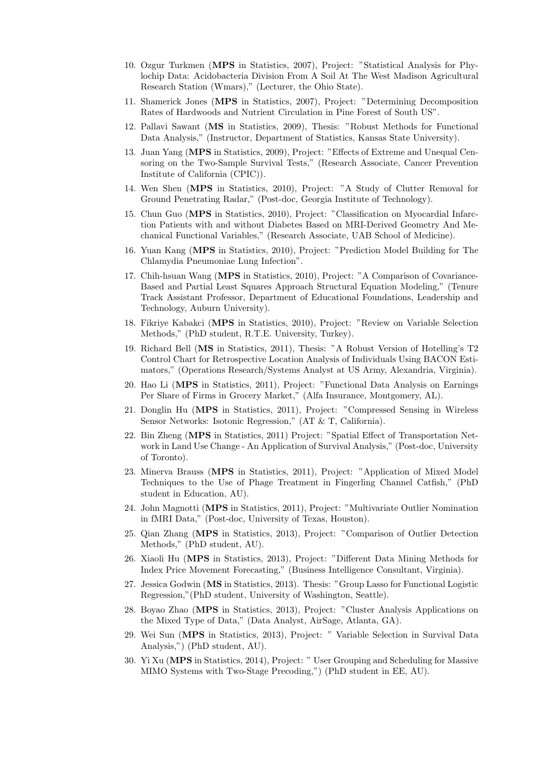- 10. Ozgur Turkmen (MPS in Statistics, 2007), Project: "Statistical Analysis for Phylochip Data: Acidobacteria Division From A Soil At The West Madison Agricultural Research Station (Wmars)," (Lecturer, the Ohio State).
- 11. Shamerick Jones (MPS in Statistics, 2007), Project: "Determining Decomposition Rates of Hardwoods and Nutrient Circulation in Pine Forest of South US".
- 12. Pallavi Sawant (MS in Statistics, 2009), Thesis: "Robust Methods for Functional Data Analysis," (Instructor, Department of Statistics, Kansas State University).
- 13. Juan Yang (MPS in Statistics, 2009), Project: "Effects of Extreme and Unequal Censoring on the Two-Sample Survival Tests," (Research Associate, Cancer Prevention Institute of California (CPIC)).
- 14. Wen Shen (MPS in Statistics, 2010), Project: "A Study of Clutter Removal for Ground Penetrating Radar," (Post-doc, Georgia Institute of Technology).
- 15. Chun Guo (MPS in Statistics, 2010), Project: "Classification on Myocardial Infarction Patients with and without Diabetes Based on MRI-Derived Geometry And Mechanical Functional Variables," (Research Associate, UAB School of Medicine).
- 16. Yuan Kang (MPS in Statistics, 2010), Project: "Prediction Model Building for The Chlamydia Pneumoniae Lung Infection".
- 17. Chih-hsuan Wang (MPS in Statistics, 2010), Project: "A Comparison of Covariance-Based and Partial Least Squares Approach Structural Equation Modeling," (Tenure Track Assistant Professor, Department of Educational Foundations, Leadership and Technology, Auburn University).
- 18. Fikriye Kabakci (MPS in Statistics, 2010), Project: "Review on Variable Selection Methods," (PhD student, R.T.E. University, Turkey).
- 19. Richard Bell (MS in Statistics, 2011), Thesis: "A Robust Version of Hotelling's T2 Control Chart for Retrospective Location Analysis of Individuals Using BACON Estimators," (Operations Research/Systems Analyst at US Army, Alexandria, Virginia).
- 20. Hao Li (MPS in Statistics, 2011), Project: "Functional Data Analysis on Earnings Per Share of Firms in Grocery Market," (Alfa Insurance, Montgomery, AL).
- 21. Donglin Hu (MPS in Statistics, 2011), Project: "Compressed Sensing in Wireless Sensor Networks: Isotonic Regression," (AT & T, California).
- 22. Bin Zheng (MPS in Statistics, 2011) Project: "Spatial Effect of Transportation Network in Land Use Change - An Application of Survival Analysis," (Post-doc, University of Toronto).
- 23. Minerva Brauss (MPS in Statistics, 2011), Project: "Application of Mixed Model Techniques to the Use of Phage Treatment in Fingerling Channel Catfish," (PhD student in Education, AU).
- 24. John Magnotti (MPS in Statistics, 2011), Project: "Multivariate Outlier Nomination in fMRI Data," (Post-doc, University of Texas, Houston).
- 25. Qian Zhang (MPS in Statistics, 2013), Project: "Comparison of Outlier Detection Methods," (PhD student, AU).
- 26. Xiaoli Hu (MPS in Statistics, 2013), Project: "Different Data Mining Methods for Index Price Movement Forecasting," (Business Intelligence Consultant, Virginia).
- 27. Jessica Godwin (MS in Statistics, 2013). Thesis: "Group Lasso for Functional Logistic Regression,"(PhD student, University of Washington, Seattle).
- 28. Boyao Zhao (MPS in Statistics, 2013), Project: "Cluster Analysis Applications on the Mixed Type of Data," (Data Analyst, AirSage, Atlanta, GA).
- 29. Wei Sun (MPS in Statistics, 2013), Project: " Variable Selection in Survival Data Analysis,") (PhD student, AU).
- 30. Yi Xu (MPS in Statistics, 2014), Project: " User Grouping and Scheduling for Massive MIMO Systems with Two-Stage Precoding,") (PhD student in EE, AU).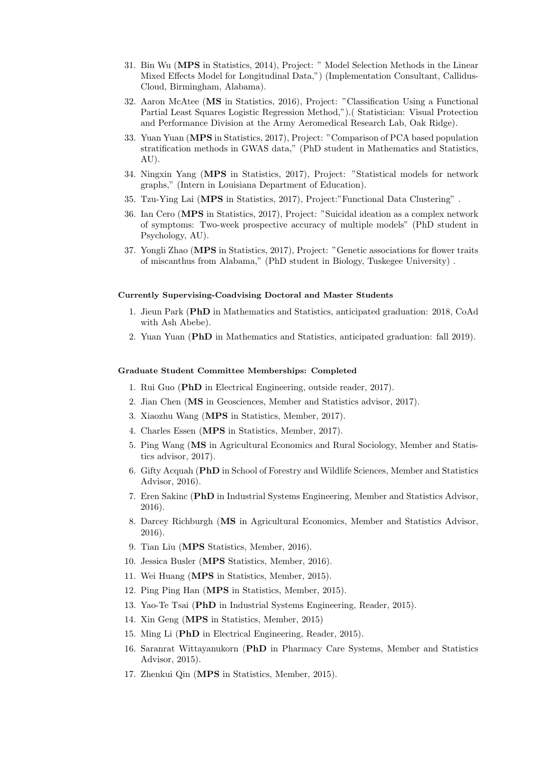- 31. Bin Wu (MPS in Statistics, 2014), Project: " Model Selection Methods in the Linear Mixed Effects Model for Longitudinal Data,") (Implementation Consultant, Callidus-Cloud, Birmingham, Alabama).
- 32. Aaron McAtee (MS in Statistics, 2016), Project: "Classification Using a Functional Partial Least Squares Logistic Regression Method,").( Statistician: Visual Protection and Performance Division at the Army Aeromedical Research Lab, Oak Ridge).
- 33. Yuan Yuan (MPS in Statistics, 2017), Project: "Comparison of PCA based population stratification methods in GWAS data," (PhD student in Mathematics and Statistics, AU).
- 34. Ningxin Yang (MPS in Statistics, 2017), Project: "Statistical models for network graphs," (Intern in Louisiana Department of Education).
- 35. Tzu-Ying Lai (MPS in Statistics, 2017), Project:"Functional Data Clustering" .
- 36. Ian Cero (MPS in Statistics, 2017), Project: "Suicidal ideation as a complex network of symptoms: Two-week prospective accuracy of multiple models" (PhD student in Psychology, AU).
- 37. Yongli Zhao (MPS in Statistics, 2017), Project: "Genetic associations for flower traits of miscanthus from Alabama," (PhD student in Biology, Tuskegee University) .

## Currently Supervising-Coadvising Doctoral and Master Students

- 1. Jieun Park (PhD in Mathematics and Statistics, anticipated graduation: 2018, CoAd with Ash Abebe).
- 2. Yuan Yuan (PhD in Mathematics and Statistics, anticipated graduation: fall 2019).

#### Graduate Student Committee Memberships: Completed

- 1. Rui Guo (PhD in Electrical Engineering, outside reader, 2017).
- 2. Jian Chen (MS in Geosciences, Member and Statistics advisor, 2017).
- 3. Xiaozhu Wang (MPS in Statistics, Member, 2017).
- 4. Charles Essen (MPS in Statistics, Member, 2017).
- 5. Ping Wang (MS in Agricultural Economics and Rural Sociology, Member and Statistics advisor, 2017).
- 6. Gifty Acquah (PhD in School of Forestry and Wildlife Sciences, Member and Statistics Advisor, 2016).
- 7. Eren Sakinc (PhD in Industrial Systems Engineering, Member and Statistics Advisor, 2016).
- 8. Darcey Richburgh (MS in Agricultural Economics, Member and Statistics Advisor, 2016).
- 9. Tian Liu (MPS Statistics, Member, 2016).
- 10. Jessica Busler (MPS Statistics, Member, 2016).
- 11. Wei Huang (MPS in Statistics, Member, 2015).
- 12. Ping Ping Han (MPS in Statistics, Member, 2015).
- 13. Yao-Te Tsai (PhD in Industrial Systems Engineering, Reader, 2015).
- 14. Xin Geng (MPS in Statistics, Member, 2015)
- 15. Ming Li (PhD in Electrical Engineering, Reader, 2015).
- 16. Saranrat Wittayanukorn (PhD in Pharmacy Care Systems, Member and Statistics Advisor, 2015).
- 17. Zhenkui Qin (MPS in Statistics, Member, 2015).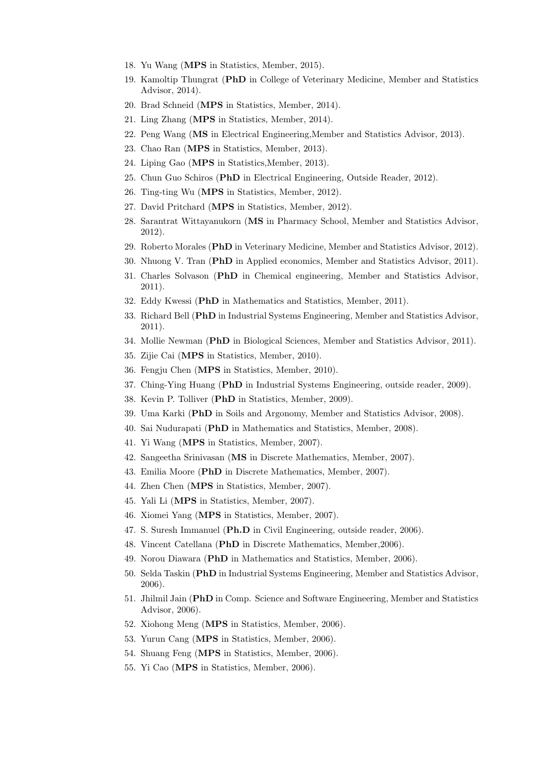- 18. Yu Wang (MPS in Statistics, Member, 2015).
- 19. Kamoltip Thungrat (PhD in College of Veterinary Medicine, Member and Statistics Advisor, 2014).
- 20. Brad Schneid (MPS in Statistics, Member, 2014).
- 21. Ling Zhang (MPS in Statistics, Member, 2014).
- 22. Peng Wang (MS in Electrical Engineering,Member and Statistics Advisor, 2013).
- 23. Chao Ran (MPS in Statistics, Member, 2013).
- 24. Liping Gao (MPS in Statistics,Member, 2013).
- 25. Chun Guo Schiros (PhD in Electrical Engineering, Outside Reader, 2012).
- 26. Ting-ting Wu (MPS in Statistics, Member, 2012).
- 27. David Pritchard (MPS in Statistics, Member, 2012).
- 28. Sarantrat Wittayanukorn (MS in Pharmacy School, Member and Statistics Advisor, 2012).
- 29. Roberto Morales (PhD in Veterinary Medicine, Member and Statistics Advisor, 2012).
- 30. Nhuong V. Tran (PhD in Applied economics, Member and Statistics Advisor, 2011).
- 31. Charles Solvason (PhD in Chemical engineering, Member and Statistics Advisor, 2011).
- 32. Eddy Kwessi (PhD in Mathematics and Statistics, Member, 2011).
- 33. Richard Bell (PhD in Industrial Systems Engineering, Member and Statistics Advisor, 2011).
- 34. Mollie Newman (PhD in Biological Sciences, Member and Statistics Advisor, 2011).
- 35. Zijie Cai (MPS in Statistics, Member, 2010).
- 36. Fengju Chen (MPS in Statistics, Member, 2010).
- 37. Ching-Ying Huang (PhD in Industrial Systems Engineering, outside reader, 2009).
- 38. Kevin P. Tolliver (PhD in Statistics, Member, 2009).
- 39. Uma Karki (PhD in Soils and Argonomy, Member and Statistics Advisor, 2008).
- 40. Sai Nudurapati (PhD in Mathematics and Statistics, Member, 2008).
- 41. Yi Wang (MPS in Statistics, Member, 2007).
- 42. Sangeetha Srinivasan (MS in Discrete Mathematics, Member, 2007).
- 43. Emilia Moore (PhD in Discrete Mathematics, Member, 2007).
- 44. Zhen Chen (MPS in Statistics, Member, 2007).
- 45. Yali Li (MPS in Statistics, Member, 2007).
- 46. Xiomei Yang (MPS in Statistics, Member, 2007).
- 47. S. Suresh Immanuel (Ph.D in Civil Engineering, outside reader, 2006).
- 48. Vincent Catellana (PhD in Discrete Mathematics, Member,2006).
- 49. Norou Diawara (PhD in Mathematics and Statistics, Member, 2006).
- 50. Selda Taskin (PhD in Industrial Systems Engineering, Member and Statistics Advisor, 2006).
- 51. Jhilmil Jain (PhD in Comp. Science and Software Engineering, Member and Statistics Advisor, 2006).
- 52. Xiohong Meng (MPS in Statistics, Member, 2006).
- 53. Yurun Cang (MPS in Statistics, Member, 2006).
- 54. Shuang Feng (MPS in Statistics, Member, 2006).
- 55. Yi Cao (MPS in Statistics, Member, 2006).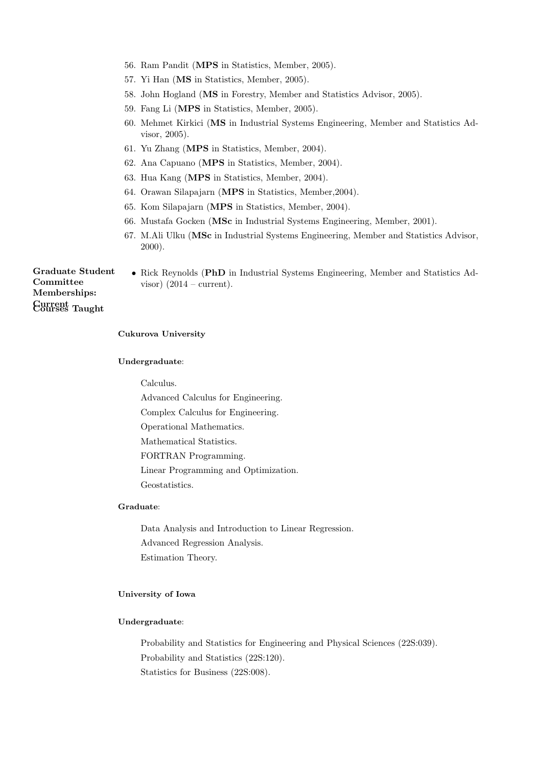- 56. Ram Pandit (MPS in Statistics, Member, 2005).
- 57. Yi Han (MS in Statistics, Member, 2005).
- 58. John Hogland (MS in Forestry, Member and Statistics Advisor, 2005).
- 59. Fang Li (MPS in Statistics, Member, 2005).
- 60. Mehmet Kirkici (MS in Industrial Systems Engineering, Member and Statistics Advisor, 2005).
- 61. Yu Zhang (MPS in Statistics, Member, 2004).
- 62. Ana Capuano (MPS in Statistics, Member, 2004).
- 63. Hua Kang (MPS in Statistics, Member, 2004).
- 64. Orawan Silapajarn (MPS in Statistics, Member,2004).
- 65. Kom Silapajarn (MPS in Statistics, Member, 2004).
- 66. Mustafa Gocken (MSc in Industrial Systems Engineering, Member, 2001).
- 67. M.Ali Ulku (MSc in Industrial Systems Engineering, Member and Statistics Advisor, 2000).

Graduate Student Committee Memberships: Current Courses Taught

• Rick Reynolds (PhD in Industrial Systems Engineering, Member and Statistics Advisor)  $(2014 - current)$ .

## Cukurova University

#### Undergraduate:

Calculus.

Advanced Calculus for Engineering.

Complex Calculus for Engineering.

Operational Mathematics. Mathematical Statistics.

FORTRAN Programming.

Linear Programming and Optimization. Geostatistics.

# Graduate:

Data Analysis and Introduction to Linear Regression. Advanced Regression Analysis. Estimation Theory.

### University of Iowa

# Undergraduate:

Probability and Statistics for Engineering and Physical Sciences (22S:039). Probability and Statistics (22S:120). Statistics for Business (22S:008).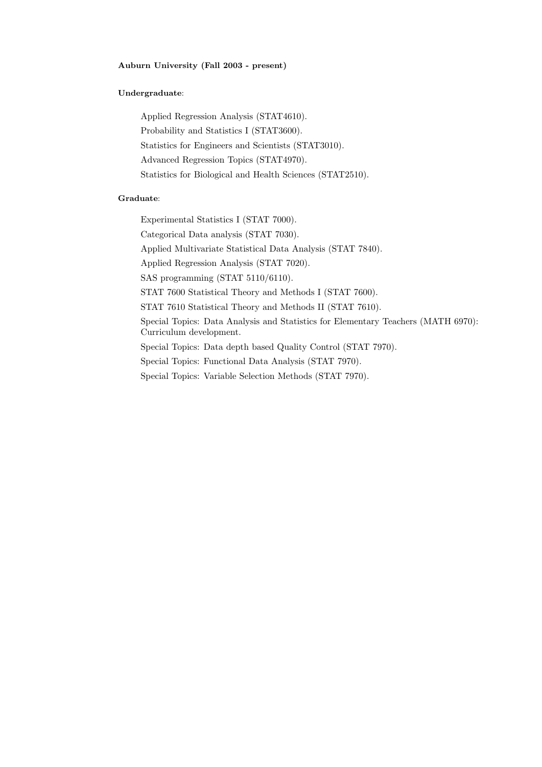# Auburn University (Fall 2003 - present)

# Undergraduate:

Applied Regression Analysis (STAT4610). Probability and Statistics I (STAT3600). Statistics for Engineers and Scientists (STAT3010). Advanced Regression Topics (STAT4970). Statistics for Biological and Health Sciences (STAT2510).

# Graduate:

Experimental Statistics I (STAT 7000).

Categorical Data analysis (STAT 7030).

Applied Multivariate Statistical Data Analysis (STAT 7840).

Applied Regression Analysis (STAT 7020).

SAS programming (STAT 5110/6110).

STAT 7600 Statistical Theory and Methods I (STAT 7600).

STAT 7610 Statistical Theory and Methods II (STAT 7610).

Special Topics: Data Analysis and Statistics for Elementary Teachers (MATH 6970): Curriculum development.

Special Topics: Data depth based Quality Control (STAT 7970).

Special Topics: Functional Data Analysis (STAT 7970).

Special Topics: Variable Selection Methods (STAT 7970).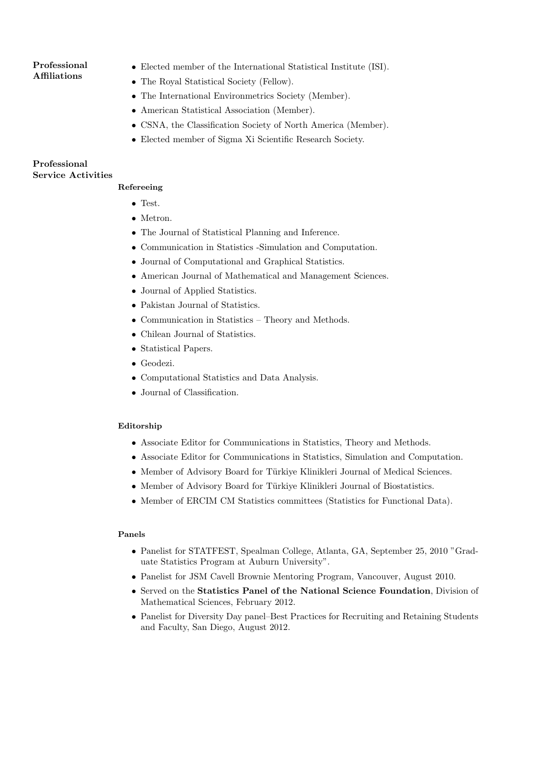## Professional Affiliations

- Elected member of the International Statistical Institute (ISI).
- The Royal Statistical Society (Fellow).
- The International Environmetrics Society (Member).
- American Statistical Association (Member).
- CSNA, the Classification Society of North America (Member).
- Elected member of Sigma Xi Scientific Research Society.

# Professional Service Activities

# Refereeing

- Test.
- Metron.
- The Journal of Statistical Planning and Inference.
- Communication in Statistics -Simulation and Computation.
- Journal of Computational and Graphical Statistics.
- American Journal of Mathematical and Management Sciences.
- Journal of Applied Statistics.
- Pakistan Journal of Statistics.
- Communication in Statistics Theory and Methods.
- Chilean Journal of Statistics.
- Statistical Papers.
- Geodezi.
- Computational Statistics and Data Analysis.
- Journal of Classification.

# Editorship

- Associate Editor for Communications in Statistics, Theory and Methods.
- Associate Editor for Communications in Statistics, Simulation and Computation.
- Member of Advisory Board for Türkiye Klinikleri Journal of Medical Sciences.
- Member of Advisory Board for Türkiye Klinikleri Journal of Biostatistics.
- Member of ERCIM CM Statistics committees (Statistics for Functional Data).

# Panels

- Panelist for STATFEST, Spealman College, Atlanta, GA, September 25, 2010 "Graduate Statistics Program at Auburn University".
- Panelist for JSM Cavell Brownie Mentoring Program, Vancouver, August 2010.
- Served on the Statistics Panel of the National Science Foundation, Division of Mathematical Sciences, February 2012.
- Panelist for Diversity Day panel–Best Practices for Recruiting and Retaining Students and Faculty, San Diego, August 2012.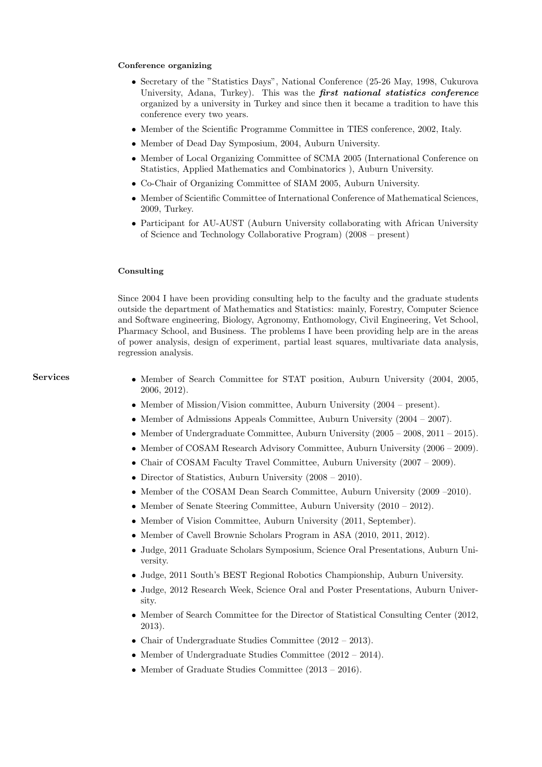#### Conference organizing

- Secretary of the "Statistics Days", National Conference (25-26 May, 1998, Cukurova University, Adana, Turkey). This was the first national statistics conference organized by a university in Turkey and since then it became a tradition to have this conference every two years.
- Member of the Scientific Programme Committee in TIES conference, 2002, Italy.
- Member of Dead Day Symposium, 2004, Auburn University.
- Member of Local Organizing Committee of SCMA 2005 (International Conference on Statistics, Applied Mathematics and Combinatorics ), Auburn University.
- Co-Chair of Organizing Committee of SIAM 2005, Auburn University.
- Member of Scientific Committee of International Conference of Mathematical Sciences, 2009, Turkey.
- Participant for AU-AUST (Auburn University collaborating with African University of Science and Technology Collaborative Program) (2008 – present)

#### Consulting

Since 2004 I have been providing consulting help to the faculty and the graduate students outside the department of Mathematics and Statistics: mainly, Forestry, Computer Science and Software engineering, Biology, Agronomy, Enthomology, Civil Engineering, Vet School, Pharmacy School, and Business. The problems I have been providing help are in the areas of power analysis, design of experiment, partial least squares, multivariate data analysis, regression analysis.

- Services Member of Search Committee for STAT position, Auburn University (2004, 2005, 2006, 2012).
	- Member of Mission/Vision committee, Auburn University (2004 present).
	- Member of Admissions Appeals Committee, Auburn University (2004 2007).
	- Member of Undergraduate Committee, Auburn University (2005 2008, 2011 2015).
	- Member of COSAM Research Advisory Committee, Auburn University (2006 2009).
	- Chair of COSAM Faculty Travel Committee, Auburn University (2007 2009).
	- Director of Statistics, Auburn University (2008 2010).
	- Member of the COSAM Dean Search Committee, Auburn University (2009 –2010).
	- Member of Senate Steering Committee, Auburn University (2010 2012).
	- Member of Vision Committee, Auburn University (2011, September).
	- Member of Cavell Brownie Scholars Program in ASA (2010, 2011, 2012).
	- Judge, 2011 Graduate Scholars Symposium, Science Oral Presentations, Auburn University.
	- Judge, 2011 South's BEST Regional Robotics Championship, Auburn University.
	- Judge, 2012 Research Week, Science Oral and Poster Presentations, Auburn University.
	- Member of Search Committee for the Director of Statistical Consulting Center (2012, 2013).
	- Chair of Undergraduate Studies Committee (2012 2013).
	- Member of Undergraduate Studies Committee (2012 2014).
	- Member of Graduate Studies Committee (2013 2016).